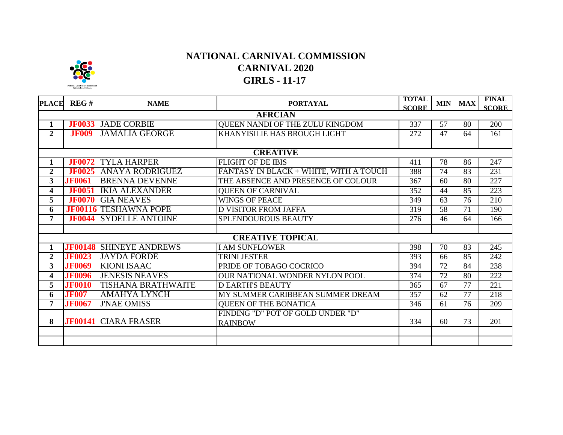

## **NATIONAL CARNIVAL COMMISSION CARNIVAL 2020 GIRLS - 11-17**

| <b>PLACE</b>            | REG#           | <b>NAME</b>                    | <b>PORTAYAL</b>                        | <b>TOTAL</b><br><b>SCORE</b> | <b>MIN</b>      | <b>MAX</b>      | <b>FINAL</b><br><b>SCORE</b> |  |  |  |  |  |
|-------------------------|----------------|--------------------------------|----------------------------------------|------------------------------|-----------------|-----------------|------------------------------|--|--|--|--|--|
| <b>AFRCIAN</b>          |                |                                |                                        |                              |                 |                 |                              |  |  |  |  |  |
| 1                       |                | <b>JF0033 JADE CORBIE</b>      | QUEEN NANDI OF THE ZULU KINGDOM        | 337                          | 57              | 80              | 200                          |  |  |  |  |  |
| $\mathbf{2}$            | <b>JF009</b>   | <b>JAMALIA GEORGE</b>          | KHANYISILIE HAS BROUGH LIGHT           | 272                          | $\overline{47}$ | 64              | 161                          |  |  |  |  |  |
|                         |                |                                |                                        |                              |                 |                 |                              |  |  |  |  |  |
| <b>CREATIVE</b>         |                |                                |                                        |                              |                 |                 |                              |  |  |  |  |  |
|                         | <b>JF0072</b>  | <b>TYLA HARPER</b>             | <b>FLIGHT OF DE IBIS</b>               | 411                          | 78              | 86              | 247                          |  |  |  |  |  |
| $\overline{2}$          | <b>JF0025</b>  | <b>ANAYA RODRIGUEZ</b>         | FANTASY IN BLACK + WHITE, WITH A TOUCH | 388                          | $\overline{74}$ | $\overline{83}$ | 231                          |  |  |  |  |  |
| 3                       | <b>JF0061</b>  | <b>BRENNA DEVENNE</b>          | THE ABSENCE AND PRESENCE OF COLOUR     | 367                          | 60              | 80              | 227                          |  |  |  |  |  |
| 4                       | <b>JF0051</b>  | <b>IKIA ALEXANDER</b>          | <b>QUEEN OF CARNIVAL</b>               | 352                          | 44              | 85              | 223                          |  |  |  |  |  |
| 5                       | <b>JF0070</b>  | <b>GIA NEAVES</b>              | <b>WINGS OF PEACE</b>                  | 349                          | 63              | 76              | 210                          |  |  |  |  |  |
| 6                       | <b>JF00116</b> | <b>TESHAWNA POPE</b>           | <b>D VISITOR FROM JAFFA</b>            | 319                          | $\overline{58}$ | $\overline{71}$ | 190                          |  |  |  |  |  |
| 7                       | <b>JF0044</b>  | <b>SYDELLE ANTOINE</b>         | SPLENDOUROUS BEAUTY                    | 276                          | 46              | 64              | 166                          |  |  |  |  |  |
|                         |                |                                |                                        |                              |                 |                 |                              |  |  |  |  |  |
|                         |                |                                | <b>CREATIVE TOPICAL</b>                |                              |                 |                 |                              |  |  |  |  |  |
|                         |                | <b>JF00148 SHINEYE ANDREWS</b> | <b>I AM SUNFLOWER</b>                  | 398                          | 70              | 83              | 245                          |  |  |  |  |  |
| $\overline{2}$          | <b>JF0023</b>  | <b>JAYDA FORDE</b>             | <b>TRINI JESTER</b>                    | 393                          | 66              | 85              | 242                          |  |  |  |  |  |
| $\overline{\mathbf{3}}$ | <b>JF0069</b>  | <b>KIONI ISAAC</b>             | PRIDE OF TOBAGO COCRICO                | 394                          | $\overline{72}$ | $\overline{84}$ | 238                          |  |  |  |  |  |
| 4                       | <b>JF0096</b>  | <b>JENESIS NEAVES</b>          | OUR NATIONAL WONDER NYLON POOL         | 374                          | $\overline{72}$ | $\overline{80}$ | $\overline{222}$             |  |  |  |  |  |
| 5                       | <b>JF0010</b>  | <b>TISHANA BRATHWAITE</b>      | <b>DEARTH'S BEAUTY</b>                 | 365                          | 67              | 77              | 221                          |  |  |  |  |  |
| 6                       | <b>JF007</b>   | <b>AMAHYA LYNCH</b>            | MY SUMMER CARIBBEAN SUMMER DREAM       | 357                          | 62              | 77              | 218                          |  |  |  |  |  |
| 7                       | <b>JF0067</b>  | <b>J'NAE OMISS</b>             | <b>QUEEN OF THE BONATICA</b>           | 346                          | 61              | 76              | 209                          |  |  |  |  |  |
|                         |                |                                | FINDING "D" POT OF GOLD UNDER "D"      |                              |                 |                 |                              |  |  |  |  |  |
| 8                       |                | <b>JF00141 CIARA FRASER</b>    | <b>RAINBOW</b>                         | 334                          | 60              | 73              | 201                          |  |  |  |  |  |
|                         |                |                                |                                        |                              |                 |                 |                              |  |  |  |  |  |
|                         |                |                                |                                        |                              |                 |                 |                              |  |  |  |  |  |